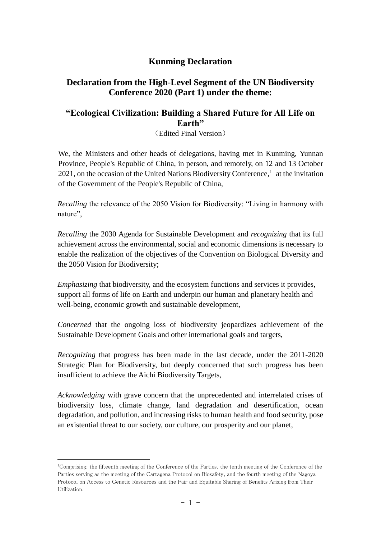## **Kunming Declaration**

## **Declaration from the High-Level Segment of the UN Biodiversity Conference 2020 (Part 1) under the theme:**

## **"Ecological Civilization: Building a Shared Future for All Life on Earth"**

(Edited Final Version)

We, the Ministers and other heads of delegations, having met in Kunming, Yunnan Province, People's Republic of China, in person, and remotely, on 12 and 13 October  $2021$ , on the occasion of the United Nations Biodiversity Conference,<sup>1</sup> at the invitation of the Government of the People's Republic of China,

*Recalling* the relevance of the 2050 Vision for Biodiversity: "Living in harmony with nature",

*Recalling* the 2030 Agenda for Sustainable Development and *recognizing* that its full achievement across the environmental, social and economic dimensions is necessary to enable the realization of the objectives of the Convention on Biological Diversity and the 2050 Vision for Biodiversity;

*Emphasizing* that biodiversity, and the ecosystem functions and services it provides, support all forms of life on Earth and underpin our human and planetary health and well-being, economic growth and sustainable development,

*Concerned* that the ongoing loss of biodiversity jeopardizes achievement of the Sustainable Development Goals and other international goals and targets,

*Recognizing* that progress has been made in the last decade, under the 2011-2020 Strategic Plan for Biodiversity, but deeply concerned that such progress has been insufficient to achieve the Aichi Biodiversity Targets,

*Acknowledging* with grave concern that the unprecedented and interrelated crises of biodiversity loss, climate change, land degradation and desertification, ocean degradation, and pollution, and increasing risks to human health and food security, pose an existential threat to our society, our culture, our prosperity and our planet,

 $\overline{a}$ 

<sup>1</sup>Comprising: the fifteenth meeting of the Conference of the Parties, the tenth meeting of the Conference of the Parties serving as the meeting of the Cartagena Protocol on Biosafety, and the fourth meeting of the Nagoya Protocol on Access to Genetic Resources and the Fair and Equitable Sharing of Benefits Arising from Their Utilization.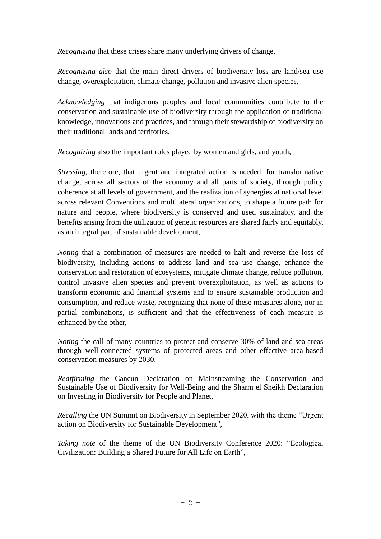*Recognizing* that these crises share many underlying drivers of change,

*Recognizing also* that the main direct drivers of biodiversity loss are land/sea use change, overexploitation, climate change, pollution and invasive alien species,

*Acknowledging* that indigenous peoples and local communities contribute to the conservation and sustainable use of biodiversity through the application of traditional knowledge, innovations and practices, and through their stewardship of biodiversity on their traditional lands and territories,

*Recognizing* also the important roles played by women and girls, and youth,

*Stressing,* therefore, that urgent and integrated action is needed, for transformative change, across all sectors of the economy and all parts of society, through policy coherence at all levels of government, and the realization of synergies at national level across relevant Conventions and multilateral organizations, to shape a future path for nature and people, where biodiversity is conserved and used sustainably, and the benefits arising from the utilization of genetic resources are shared fairly and equitably, as an integral part of sustainable development,

*Noting* that a combination of measures are needed to halt and reverse the loss of biodiversity, including actions to address land and sea use change, enhance the conservation and restoration of ecosystems, mitigate climate change, reduce pollution, control invasive alien species and prevent overexploitation, as well as actions to transform economic and financial systems and to ensure sustainable production and consumption, and reduce waste, recognizing that none of these measures alone, nor in partial combinations, is sufficient and that the effectiveness of each measure is enhanced by the other,

*Noting* the call of many countries to protect and conserve 30% of land and sea areas through well-connected systems of protected areas and other effective area-based conservation measures by 2030,

*Reaffirming* the Cancun Declaration on Mainstreaming the Conservation and Sustainable Use of Biodiversity for Well-Being and the Sharm el Sheikh Declaration on Investing in Biodiversity for People and Planet,

*Recalling* the UN Summit on Biodiversity in September 2020, with the theme "Urgent action on Biodiversity for Sustainable Development",

*Taking note* of the theme of the UN Biodiversity Conference 2020: "Ecological Civilization: Building a Shared Future for All Life on Earth",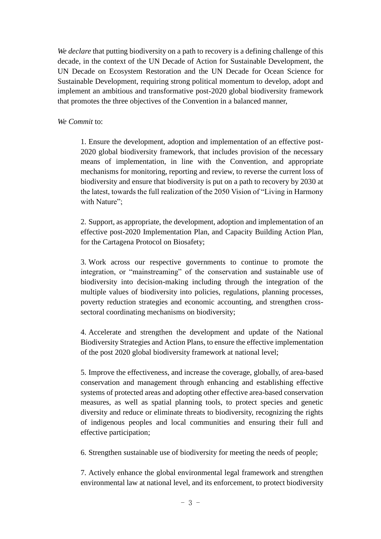*We declare* that putting biodiversity on a path to recovery is a defining challenge of this decade, in the context of the UN Decade of Action for Sustainable Development, the UN Decade on Ecosystem Restoration and the UN Decade for Ocean Science for Sustainable Development, requiring strong political momentum to develop, adopt and implement an ambitious and transformative post-2020 global biodiversity framework that promotes the three objectives of the Convention in a balanced manner,

## *We Commit* to:

1. Ensure the development, adoption and implementation of an effective post-2020 global biodiversity framework, that includes provision of the necessary means of implementation, in line with the Convention, and appropriate mechanisms for monitoring, reporting and review, to reverse the current loss of biodiversity and ensure that biodiversity is put on a path to recovery by 2030 at the latest, towards the full realization of the 2050 Vision of "Living in Harmony with Nature";

2. Support, as appropriate, the development, adoption and implementation of an effective post-2020 Implementation Plan, and Capacity Building Action Plan, for the Cartagena Protocol on Biosafety;

3. Work across our respective governments to continue to promote the integration, or "mainstreaming" of the conservation and sustainable use of biodiversity into decision-making including through the integration of the multiple values of biodiversity into policies, regulations, planning processes, poverty reduction strategies and economic accounting, and strengthen crosssectoral coordinating mechanisms on biodiversity;

4. Accelerate and strengthen the development and update of the National Biodiversity Strategies and Action Plans, to ensure the effective implementation of the post 2020 global biodiversity framework at national level;

5. Improve the effectiveness, and increase the coverage, globally, of area-based conservation and management through enhancing and establishing effective systems of protected areas and adopting other effective area-based conservation measures, as well as spatial planning tools, to protect species and genetic diversity and reduce or eliminate threats to biodiversity, recognizing the rights of indigenous peoples and local communities and ensuring their full and effective participation;

6. Strengthen sustainable use of biodiversity for meeting the needs of people;

7. Actively enhance the global environmental legal framework and strengthen environmental law at national level, and its enforcement, to protect biodiversity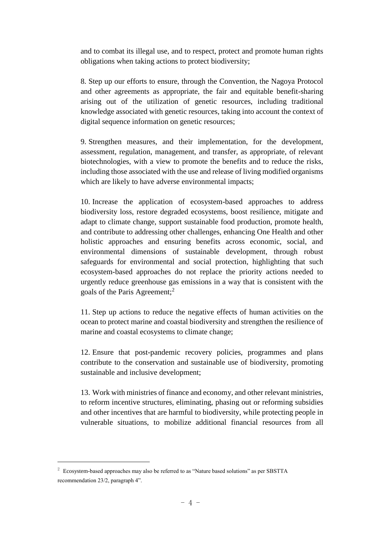and to combat its illegal use, and to respect, protect and promote human rights obligations when taking actions to protect biodiversity;

8. Step up our efforts to ensure, through the Convention, the Nagoya Protocol and other agreements as appropriate, the fair and equitable benefit-sharing arising out of the utilization of genetic resources, including traditional knowledge associated with genetic resources, taking into account the context of digital sequence information on genetic resources;

9. Strengthen measures, and their implementation, for the development, assessment, regulation, management, and transfer, as appropriate, of relevant biotechnologies, with a view to promote the benefits and to reduce the risks, including those associated with the use and release of living modified organisms which are likely to have adverse environmental impacts;

10. Increase the application of ecosystem-based approaches to address biodiversity loss, restore degraded ecosystems, boost resilience, mitigate and adapt to climate change, support sustainable food production, promote health, and contribute to addressing other challenges, enhancing One Health and other holistic approaches and ensuring benefits across economic, social, and environmental dimensions of sustainable development, through robust safeguards for environmental and social protection, highlighting that such ecosystem-based approaches do not replace the priority actions needed to urgently reduce greenhouse gas emissions in a way that is consistent with the goals of the Paris Agreement:<sup>2</sup>

11. Step up actions to reduce the negative effects of human activities on the ocean to protect marine and coastal biodiversity and strengthen the resilience of marine and coastal ecosystems to climate change;

12. Ensure that post-pandemic recovery policies, programmes and plans contribute to the conservation and sustainable use of biodiversity, promoting sustainable and inclusive development;

13. Work with ministries of finance and economy, and other relevant ministries, to reform incentive structures, eliminating, phasing out or reforming subsidies and other incentives that are harmful to biodiversity, while protecting people in vulnerable situations, to mobilize additional financial resources from all

 $\overline{a}$ 

 $2 \text{ Ecosystem-based approaches may also be referred to as "Nature based solutions" as per SBTTA"$ recommendation 23/2, paragraph 4".